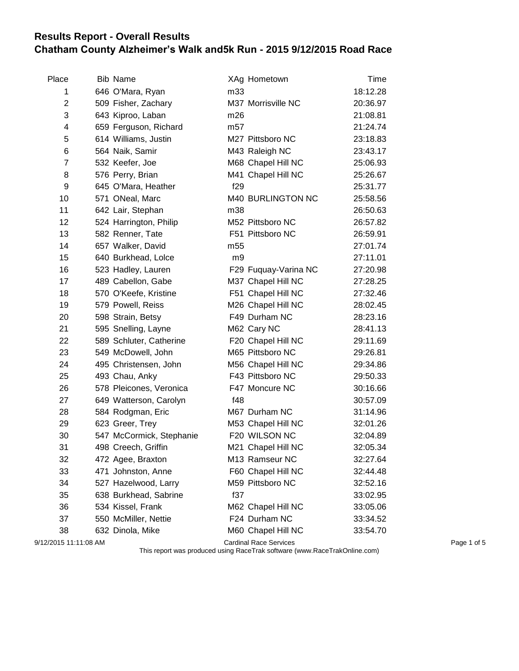## **Results Report - Overall Results Chatham County Alzheimer's Walk and5k Run - 2015 9/12/2015 Road Race**

| Place                 | <b>Bib Name</b>          |                 | XAg Hometown                  | Time     |             |
|-----------------------|--------------------------|-----------------|-------------------------------|----------|-------------|
| 1                     | 646 O'Mara, Ryan         | m33             |                               | 18:12.28 |             |
| $\overline{2}$        | 509 Fisher, Zachary      |                 | M37 Morrisville NC            | 20:36.97 |             |
| 3                     | 643 Kiproo, Laban        | m26             |                               | 21:08.81 |             |
| 4                     | 659 Ferguson, Richard    | m <sub>57</sub> |                               | 21:24.74 |             |
| 5                     | 614 Williams, Justin     |                 | M27 Pittsboro NC              | 23:18.83 |             |
| 6                     | 564 Naik, Samir          |                 | M43 Raleigh NC                | 23:43.17 |             |
| 7                     | 532 Keefer, Joe          |                 | M68 Chapel Hill NC            | 25:06.93 |             |
| 8                     | 576 Perry, Brian         |                 | M41 Chapel Hill NC            | 25:26.67 |             |
| 9                     | 645 O'Mara, Heather      | f29             |                               | 25:31.77 |             |
| 10                    | 571 ONeal, Marc          |                 | M40 BURLINGTON NC             | 25:58.56 |             |
| 11                    | 642 Lair, Stephan        | m38             |                               | 26:50.63 |             |
| 12                    | 524 Harrington, Philip   |                 | M52 Pittsboro NC              | 26:57.82 |             |
| 13                    | 582 Renner, Tate         |                 | F51 Pittsboro NC              | 26:59.91 |             |
| 14                    | 657 Walker, David        | m <sub>55</sub> |                               | 27:01.74 |             |
| 15                    | 640 Burkhead, Lolce      | m9              |                               | 27:11.01 |             |
| 16                    | 523 Hadley, Lauren       |                 | F29 Fuquay-Varina NC          | 27:20.98 |             |
| 17                    | 489 Cabellon, Gabe       |                 | M37 Chapel Hill NC            | 27:28.25 |             |
| 18                    | 570 O'Keefe, Kristine    |                 | F51 Chapel Hill NC            | 27:32.46 |             |
| 19                    | 579 Powell, Reiss        |                 | M26 Chapel Hill NC            | 28:02.45 |             |
| 20                    | 598 Strain, Betsy        |                 | F49 Durham NC                 | 28:23.16 |             |
| 21                    | 595 Snelling, Layne      |                 | M62 Cary NC                   | 28:41.13 |             |
| 22                    | 589 Schluter, Catherine  |                 | F20 Chapel Hill NC            | 29:11.69 |             |
| 23                    | 549 McDowell, John       |                 | M65 Pittsboro NC              | 29:26.81 |             |
| 24                    | 495 Christensen, John    |                 | M56 Chapel Hill NC            | 29:34.86 |             |
| 25                    | 493 Chau, Anky           |                 | F43 Pittsboro NC              | 29:50.33 |             |
| 26                    | 578 Pleicones, Veronica  |                 | F47 Moncure NC                | 30:16.66 |             |
| 27                    | 649 Watterson, Carolyn   | f48             |                               | 30:57.09 |             |
| 28                    | 584 Rodgman, Eric        |                 | M67 Durham NC                 | 31:14.96 |             |
| 29                    | 623 Greer, Trey          |                 | M53 Chapel Hill NC            | 32:01.26 |             |
| 30                    | 547 McCormick, Stephanie |                 | F20 WILSON NC                 | 32:04.89 |             |
| 31                    | 498 Creech, Griffin      |                 | M21 Chapel Hill NC            | 32:05.34 |             |
| 32                    | 472 Agee, Braxton        |                 | M13 Ramseur NC                | 32:27.64 |             |
| 33                    | 471 Johnston, Anne       |                 | F60 Chapel Hill NC            | 32:44.48 |             |
| 34                    | 527 Hazelwood, Larry     |                 | M59 Pittsboro NC              | 32:52.16 |             |
| 35                    | 638 Burkhead, Sabrine    | f37             |                               | 33:02.95 |             |
| 36                    | 534 Kissel, Frank        |                 | M62 Chapel Hill NC            | 33:05.06 |             |
| 37                    | 550 McMiller, Nettie     |                 | F24 Durham NC                 | 33:34.52 |             |
| 38                    | 632 Dinola, Mike         |                 | M60 Chapel Hill NC            | 33:54.70 |             |
| 9/12/2015 11:11:08 AM |                          |                 | <b>Cardinal Race Services</b> |          | Page 1 of 5 |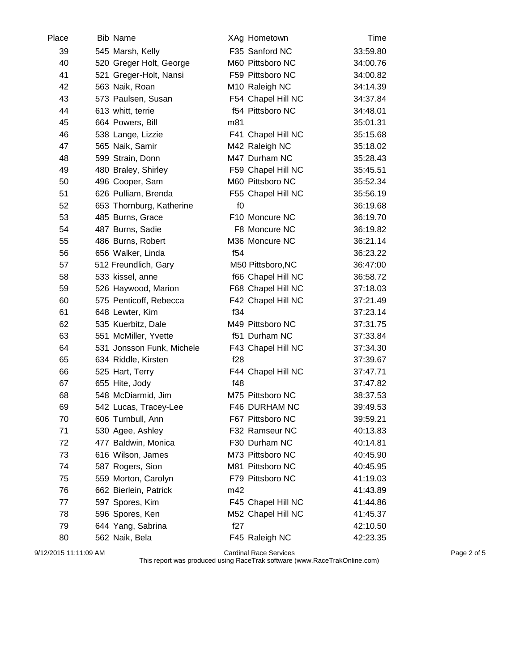| Place | <b>Bib Name</b>           | XAg Hometown       | Time     |
|-------|---------------------------|--------------------|----------|
| 39    | 545 Marsh, Kelly          | F35 Sanford NC     | 33:59.80 |
| 40    | 520 Greger Holt, George   | M60 Pittsboro NC   | 34:00.76 |
| 41    | 521 Greger-Holt, Nansi    | F59 Pittsboro NC   | 34:00.82 |
| 42    | 563 Naik, Roan            | M10 Raleigh NC     | 34:14.39 |
| 43    | 573 Paulsen, Susan        | F54 Chapel Hill NC | 34:37.84 |
| 44    | 613 whitt, terrie         | f54 Pittsboro NC   | 34:48.01 |
| 45    | 664 Powers, Bill          | m81                | 35:01.31 |
| 46    | 538 Lange, Lizzie         | F41 Chapel Hill NC | 35:15.68 |
| 47    | 565 Naik, Samir           | M42 Raleigh NC     | 35:18.02 |
| 48    | 599 Strain, Donn          | M47 Durham NC      | 35:28.43 |
| 49    | 480 Braley, Shirley       | F59 Chapel Hill NC | 35:45.51 |
| 50    | 496 Cooper, Sam           | M60 Pittsboro NC   | 35:52.34 |
| 51    | 626 Pulliam, Brenda       | F55 Chapel Hill NC | 35:56.19 |
| 52    | 653 Thornburg, Katherine  | f()                | 36:19.68 |
| 53    | 485 Burns, Grace          | F10 Moncure NC     | 36:19.70 |
| 54    | 487 Burns, Sadie          | F8 Moncure NC      | 36:19.82 |
| 55    | 486 Burns, Robert         | M36 Moncure NC     | 36:21.14 |
| 56    | 656 Walker, Linda         | f54                | 36:23.22 |
| 57    | 512 Freundlich, Gary      | M50 Pittsboro, NC  | 36:47:00 |
| 58    | 533 kissel, anne          | f66 Chapel Hill NC | 36:58.72 |
| 59    | 526 Haywood, Marion       | F68 Chapel Hill NC | 37:18.03 |
| 60    | 575 Penticoff, Rebecca    | F42 Chapel Hill NC | 37:21.49 |
| 61    | 648 Lewter, Kim           | f34                | 37:23.14 |
| 62    | 535 Kuerbitz, Dale        | M49 Pittsboro NC   | 37:31.75 |
| 63    | 551 McMiller, Yvette      | f51 Durham NC      | 37:33.84 |
| 64    | 531 Jonsson Funk, Michele | F43 Chapel Hill NC | 37:34.30 |
| 65    | 634 Riddle, Kirsten       | f28                | 37:39.67 |
| 66    | 525 Hart, Terry           | F44 Chapel Hill NC | 37:47.71 |
| 67    | 655 Hite, Jody            | f48                | 37:47.82 |
| 68    | 548 McDiarmid, Jim        | M75 Pittsboro NC   | 38:37.53 |
| 69    | 542 Lucas, Tracey-Lee     | F46 DURHAM NC      | 39:49.53 |
| 70    | 606 Turnbull, Ann         | F67 Pittsboro NC   | 39:59.21 |
| 71    | 530 Agee, Ashley          | F32 Ramseur NC     | 40:13.83 |
| 72    | 477 Baldwin, Monica       | F30 Durham NC      | 40:14.81 |
| 73    | 616 Wilson, James         | M73 Pittsboro NC   | 40:45.90 |
| 74    | 587 Rogers, Sion          | M81 Pittsboro NC   | 40:45.95 |
| 75    | 559 Morton, Carolyn       | F79 Pittsboro NC   | 41:19.03 |
| 76    | 662 Bierlein, Patrick     | m42                | 41:43.89 |
| 77    | 597 Spores, Kim           | F45 Chapel Hill NC | 41:44.86 |
| 78    | 596 Spores, Ken           | M52 Chapel Hill NC | 41:45.37 |
| 79    | 644 Yang, Sabrina         | f27                | 42:10.50 |
| 80    | 562 Naik, Bela            | F45 Raleigh NC     | 42:23.35 |

9/12/2015 11:11:09 AM Cardinal Race Services Page 2 of 5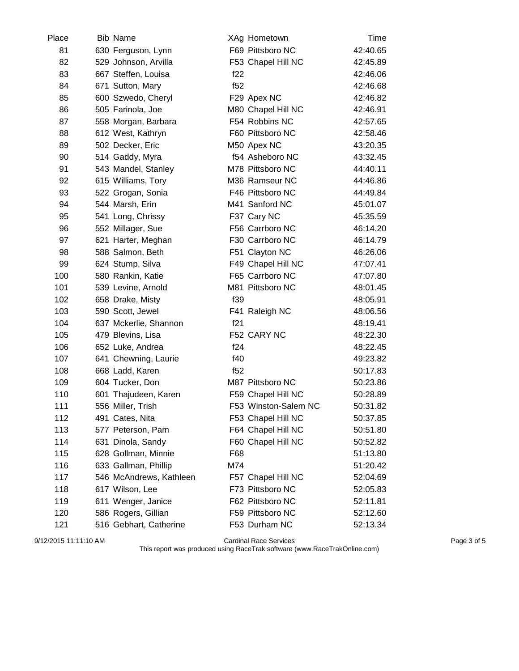| Place | <b>Bib Name</b>         | XAg Hometown         | Time     |
|-------|-------------------------|----------------------|----------|
| 81    | 630 Ferguson, Lynn      | F69 Pittsboro NC     | 42:40.65 |
| 82    | 529 Johnson, Arvilla    | F53 Chapel Hill NC   | 42:45.89 |
| 83    | 667 Steffen, Louisa     | f22                  | 42:46.06 |
| 84    | 671 Sutton, Mary        | f52                  | 42:46.68 |
| 85    | 600 Szwedo, Cheryl      | F29 Apex NC          | 42:46.82 |
| 86    | 505 Farinola, Joe       | M80 Chapel Hill NC   | 42:46.91 |
| 87    | 558 Morgan, Barbara     | F54 Robbins NC       | 42:57.65 |
| 88    | 612 West, Kathryn       | F60 Pittsboro NC     | 42:58.46 |
| 89    | 502 Decker, Eric        | M50 Apex NC          | 43:20.35 |
| 90    | 514 Gaddy, Myra         | f54 Asheboro NC      | 43:32.45 |
| 91    | 543 Mandel, Stanley     | M78 Pittsboro NC     | 44:40.11 |
| 92    | 615 Williams, Tory      | M36 Ramseur NC       | 44:46.86 |
| 93    | 522 Grogan, Sonia       | F46 Pittsboro NC     | 44:49.84 |
| 94    | 544 Marsh, Erin         | M41 Sanford NC       | 45:01.07 |
| 95    | 541 Long, Chrissy       | F37 Cary NC          | 45:35.59 |
| 96    | 552 Millager, Sue       | F56 Carrboro NC      | 46:14.20 |
| 97    | 621 Harter, Meghan      | F30 Carrboro NC      | 46:14.79 |
| 98    | 588 Salmon, Beth        | F51 Clayton NC       | 46:26.06 |
| 99    | 624 Stump, Silva        | F49 Chapel Hill NC   | 47:07.41 |
| 100   | 580 Rankin, Katie       | F65 Carrboro NC      | 47:07.80 |
| 101   | 539 Levine, Arnold      | M81 Pittsboro NC     | 48:01.45 |
| 102   | 658 Drake, Misty        | f39                  | 48:05.91 |
| 103   | 590 Scott, Jewel        | F41 Raleigh NC       | 48:06.56 |
| 104   | 637 Mckerlie, Shannon   | f21                  | 48:19.41 |
| 105   | 479 Blevins, Lisa       | F52 CARY NC          | 48:22.30 |
| 106   | 652 Luke, Andrea        | f24                  | 48:22.45 |
| 107   | 641 Chewning, Laurie    | f40                  | 49:23.82 |
| 108   | 668 Ladd, Karen         | f52                  | 50:17.83 |
| 109   | 604 Tucker, Don         | M87 Pittsboro NC     | 50:23.86 |
| 110   | 601 Thajudeen, Karen    | F59 Chapel Hill NC   | 50:28.89 |
| 111   | 556 Miller, Trish       | F53 Winston-Salem NC | 50:31.82 |
| 112   | 491 Cates, Nita         | F53 Chapel Hill NC   | 50:37.85 |
| 113   | 577 Peterson, Pam       | F64 Chapel Hill NC   | 50:51.80 |
| 114   | 631 Dinola, Sandy       | F60 Chapel Hill NC   | 50:52.82 |
| 115   | 628 Gollman, Minnie     | F68                  | 51:13.80 |
| 116   | 633 Gallman, Phillip    | M74                  | 51:20.42 |
| 117   | 546 McAndrews, Kathleen | F57 Chapel Hill NC   | 52:04.69 |
| 118   | 617 Wilson, Lee         | F73 Pittsboro NC     | 52:05.83 |
| 119   | 611 Wenger, Janice      | F62 Pittsboro NC     | 52:11.81 |
| 120   | 586 Rogers, Gillian     | F59 Pittsboro NC     | 52:12.60 |
| 121   | 516 Gebhart, Catherine  | F53 Durham NC        | 52:13.34 |

9/12/2015 11:11:10 AM Cardinal Race Services Page 3 of 5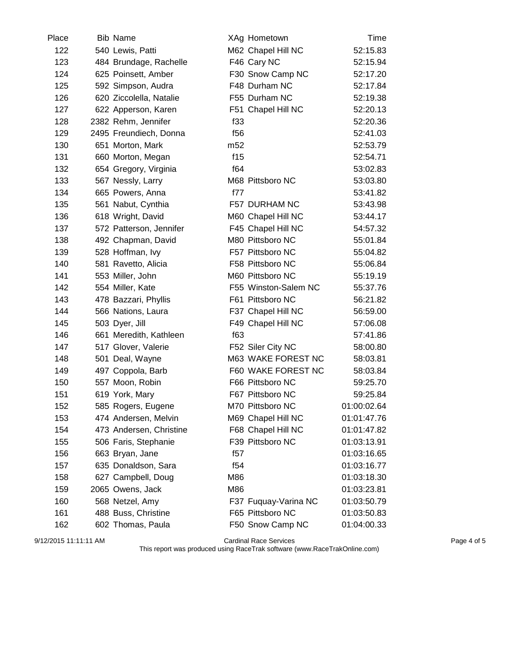| Place | <b>Bib Name</b>         |                 | XAg Hometown         | Time        |
|-------|-------------------------|-----------------|----------------------|-------------|
| 122   | 540 Lewis, Patti        |                 | M62 Chapel Hill NC   | 52:15.83    |
| 123   | 484 Brundage, Rachelle  |                 | F46 Cary NC          | 52:15.94    |
| 124   | 625 Poinsett, Amber     |                 | F30 Snow Camp NC     | 52:17.20    |
| 125   | 592 Simpson, Audra      |                 | F48 Durham NC        | 52:17.84    |
| 126   | 620 Ziccolella, Natalie |                 | F55 Durham NC        | 52:19.38    |
| 127   | 622 Apperson, Karen     |                 | F51 Chapel Hill NC   | 52:20.13    |
| 128   | 2382 Rehm, Jennifer     | f33             |                      | 52:20.36    |
| 129   | 2495 Freundiech, Donna  | f56             |                      | 52:41.03    |
| 130   | 651 Morton, Mark        | m <sub>52</sub> |                      | 52:53.79    |
| 131   | 660 Morton, Megan       | f15             |                      | 52:54.71    |
| 132   | 654 Gregory, Virginia   | f64             |                      | 53:02.83    |
| 133   | 567 Nessly, Larry       |                 | M68 Pittsboro NC     | 53:03.80    |
| 134   | 665 Powers, Anna        | f77             |                      | 53:41.82    |
| 135   | 561 Nabut, Cynthia      |                 | F57 DURHAM NC        | 53:43.98    |
| 136   | 618 Wright, David       |                 | M60 Chapel Hill NC   | 53:44.17    |
| 137   | 572 Patterson, Jennifer |                 | F45 Chapel Hill NC   | 54:57.32    |
| 138   | 492 Chapman, David      |                 | M80 Pittsboro NC     | 55:01.84    |
| 139   | 528 Hoffman, Ivy        |                 | F57 Pittsboro NC     | 55:04.82    |
| 140   | 581 Ravetto, Alicia     |                 | F58 Pittsboro NC     | 55:06.84    |
| 141   | 553 Miller, John        |                 | M60 Pittsboro NC     | 55:19.19    |
| 142   | 554 Miller, Kate        |                 | F55 Winston-Salem NC | 55:37.76    |
| 143   | 478 Bazzari, Phyllis    |                 | F61 Pittsboro NC     | 56:21.82    |
| 144   | 566 Nations, Laura      |                 | F37 Chapel Hill NC   | 56:59.00    |
| 145   | 503 Dyer, Jill          |                 | F49 Chapel Hill NC   | 57:06.08    |
| 146   | 661 Meredith, Kathleen  | f63             |                      | 57:41.86    |
| 147   | 517 Glover, Valerie     |                 | F52 Siler City NC    | 58:00.80    |
| 148   | 501 Deal, Wayne         |                 | M63 WAKE FOREST NC   | 58:03.81    |
| 149   | 497 Coppola, Barb       |                 | F60 WAKE FOREST NC   | 58:03.84    |
| 150   | 557 Moon, Robin         |                 | F66 Pittsboro NC     | 59:25.70    |
| 151   | 619 York, Mary          |                 | F67 Pittsboro NC     | 59:25.84    |
| 152   | 585 Rogers, Eugene      |                 | M70 Pittsboro NC     | 01:00:02.64 |
| 153   | 474 Andersen, Melvin    |                 | M69 Chapel Hill NC   | 01:01:47.76 |
| 154   | 473 Andersen, Christine |                 | F68 Chapel Hill NC   | 01:01:47.82 |
| 155   | 506 Faris, Stephanie    |                 | F39 Pittsboro NC     | 01:03:13.91 |
| 156   | 663 Bryan, Jane         | f57             |                      | 01:03:16.65 |
| 157   | 635 Donaldson, Sara     | f54             |                      | 01:03:16.77 |
| 158   | 627 Campbell, Doug      | M86             |                      | 01:03:18.30 |
| 159   | 2065 Owens, Jack        | M86             |                      | 01:03:23.81 |
| 160   | 568 Netzel, Amy         |                 | F37 Fuquay-Varina NC | 01:03:50.79 |
| 161   | 488 Buss, Christine     |                 | F65 Pittsboro NC     | 01:03:50.83 |
| 162   | 602 Thomas, Paula       |                 | F50 Snow Camp NC     | 01:04:00.33 |

9/12/2015 11:11:11 AM Cardinal Race Services Page 4 of 5